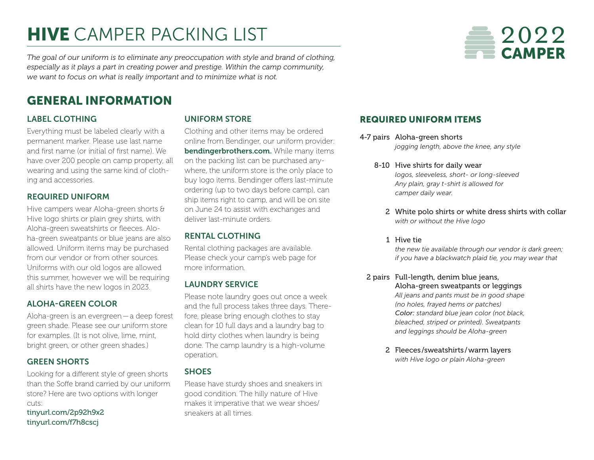# **HIVE** CAMPER PACKING LIST



*The goal of our uniform is to eliminate any preoccupation with style and brand of clothing, especially as it plays a part in creating power and prestige. Within the camp community, we want to focus on what is really important and to minimize what is not.*

# GENERAL INFORMATION

#### LABEL CLOTHING

Everything must be labeled clearly with a permanent marker. Please use last name and first name (or initial of first name). We have over 200 people on camp property, all wearing and using the same kind of clothing and accessories.

#### REQUIRED UNIFORM

Hive campers wear Aloha-green shorts & Hive logo shirts or plain grey shirts, with Aloha-green sweatshirts or fleeces. Aloha-green sweatpants or blue jeans are also allowed. Uniform items may be purchased from our vendor or from other sources. Uniforms with our old logos are allowed this summer, however we will be requiring all shirts have the new logos in 2023.

#### ALOHA-GREEN COLOR

Aloha-green is an evergreen—a deep forest green shade. Please see our uniform store for examples. (It is not olive, lime, mint, bright green, or other green shades.)

#### GREEN SHORTS

Looking for a different style of green shorts than the Soffe brand carried by our uniform store? Here are two options with longer cuts:

[tinyurl.com/2p92h9x2](http://tinyurl.com/2p92h9x2) [tinyurl.com/f7h8cscj](http://tinyurl.com/f7h8cscj)

#### UNIFORM STORE

Clothing and other items may be ordered online from Bendinger, our uniform provider: [bendingerbrothers.com.](http://bendingerbrothers.com) While many items on the packing list can be purchased anywhere, the uniform store is the only place to buy logo items. Bendinger offers last-minute ordering (up to two days before camp), can ship items right to camp, and will be on site on June 24 to assist with exchanges and deliver last-minute orders.

### RENTAL CLOTHING

Rental clothing packages are available. Please check your camp's web page for more information.

#### LAUNDRY SERVICE

Please note laundry goes out once a week and the full process takes three days. Therefore, please bring enough clothes to stay clean for 10 full days and a laundry bag to hold dirty clothes when laundry is being done. The camp laundry is a high-volume operation.

#### **SHOES**

Please have sturdy shoes and sneakers in good condition. The hilly nature of Hive makes it imperative that we wear shoes/ sneakers at all times.

## REQUIRED UNIFORM ITEMS

- 4-7 pairs Aloha-green shorts *jogging length, above the knee, any style*
	- 8-10 Hive shirts for daily wear *logos, sleeveless, short- or long-sleeved Any plain, gray t-shirt is allowed for camper daily wear.* 
		- 2 White polo shirts or white dress shirts with collar *with or without the Hive logo*

#### 1 Hive tie

*the new tie available through our vendor is dark green; if you have a blackwatch plaid tie, you may wear that*

- 2 pairs Full-length, denim blue jeans, Aloha-green sweatpants or leggings *All jeans and pants must be in good shape (no holes, frayed hems or patches) Color: standard blue jean color (not black, bleached, striped or printed). Sweatpants and leggings should be Aloha-green*
	- 2 Fleeces /sweatshirts /warm layers *with Hive logo or plain Aloha-green*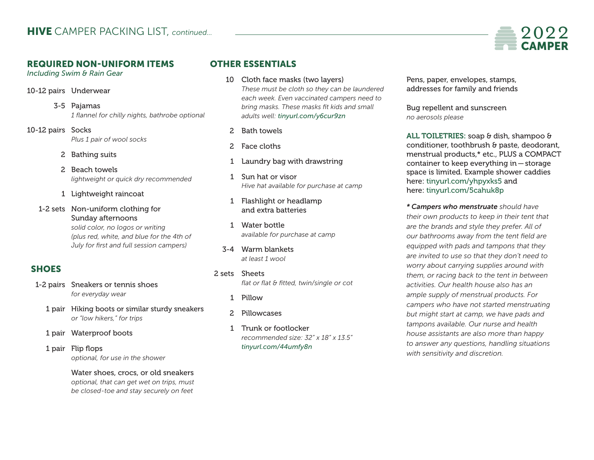#### REQUIRED NON-UNIFORM ITEMS

*Including Swim & Rain Gear*

- 10-12 pairs Underwear
	- 3-5 Pajamas *1 flannel for chilly nights, bathrobe optional*
- 10-12 pairs Socks *Plus 1 pair of wool socks*
	- 2 Bathing suits
	- 2 Beach towels *lightweight or quick dry recommended*
	- 1 Lightweight raincoat
	- 1-2 sets Non-uniform clothing for Sunday afternoons *solid color, no logos or writing (plus red, white, and blue for the 4th of July for first and full session campers)*

# **SHOES**

- 1-2 pairs Sneakers or tennis shoes *for everyday wear*
	- 1 pair Hiking boots or similar sturdy sneakers *or "low hikers," for trips*
	- 1 pair Waterproof boots
	- 1 pair Flip flops *optional, for use in the shower*

 Water shoes, crocs, or old sneakers *optional, that can get wet on trips, must be closed-toe and stay securely on feet*

## OTHER ESSENTIALS

- 10 Cloth face masks (two layers) *These must be cloth so they can be laundered each week. Even vaccinated campers need to bring masks. These masks fit kids and small adults well: [tinyurl.com/y6cur9zn](https://www.amazon.com/gp/product/B086WC1LDD/ref=ppx_yo_dt_b_search_asin_title?ie=UTF8&psc=1&pldnSite=1)*
	- 2 Bath towels
	- 2 Face cloths
- 1 Laundry bag with drawstring
- 1 Sun hat or visor *Hive hat available for purchase at camp*
- 1 Flashlight or headlamp and extra batteries
- 1 Water bottle *available for purchase at camp*
- 3-4 Warm blankets *at least 1 wool*
- 2 sets Sheets *flat or flat & fitted, twin/single or cot*
	- 1 Pillow
	- 2 Pillowcases
	- 1 Trunk or footlocker *recommended size: 32" x 18" x 13.5" [tinyurl.com/44umfy8n](https://everythingsummercamp.com/collections/hive?camp_code=trail229AV)*

 Pens, paper, envelopes, stamps, addresses for family and friends

 Bug repellent and sunscreen *no aerosols please*

ALL TOILETRIES: soap & dish, shampoo & conditioner, toothbrush & paste, deodorant, menstrual products,\* etc., PLUS a COMPACT container to keep everything in—storage space is limited. Example shower caddies here: [tinyurl.com/yhpyxks5](http://tinyurl.com/yhpyxks5) and here: [tinyurl.com/5cahuk8p](https://tinyurl.com/5cahuk8p)

*\* Campers who menstruate should have their own products to keep in their tent that are the brands and style they prefer. All of our bathrooms away from the tent field are equipped with pads and tampons that they are invited to use so that they don't need to worry about carrying supplies around with them, or racing back to the tent in between activities. Our health house also has an ample supply of menstrual products. For campers who have not started menstruating but might start at camp, we have pads and tampons available. Our nurse and health house assistants are also more than happy to answer any questions, handling situations with sensitivity and discretion.*